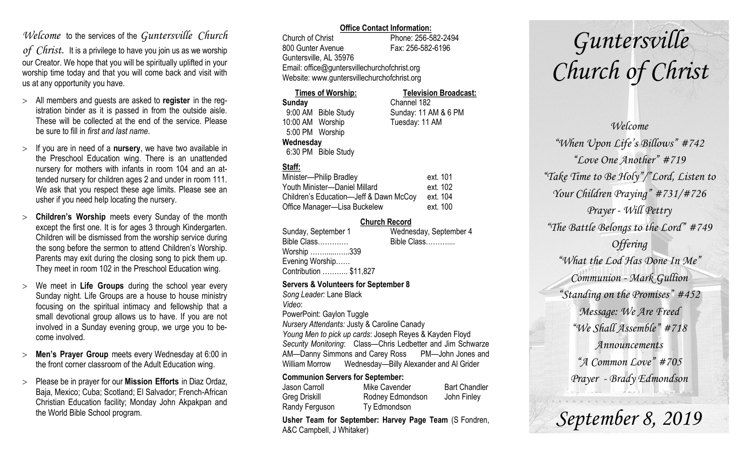### *Welcome* to the services of the *Guntersville Church*

*of Christ*. It is a privilege to have you join us as we worship our Creator. We hope that you will be spiritually uplifted in your worship time today and that you will come back and visit with us at any opportunity you have.

- All members and guests are asked to **register** in the registration binder as it is passed in from the outside aisle. These will be collected at the end of the service. Please be sure to fill in *first and last name*.
- $>$  If you are in need of a **nursery**, we have two available in the Preschool Education wing. There is an unattended nursery for mothers with infants in room 104 and an attended nursery for children ages 2 and under in room 111. We ask that you respect these age limits. Please see an usher if you need help locating the nursery.
- **Children's Worship** meets every Sunday of the month except the first one. It is for ages 3 through Kindergarten. Children will be dismissed from the worship service during the song before the sermon to attend Children's Worship. Parents may exit during the closing song to pick them up. They meet in room 102 in the Preschool Education wing.
- We meet in **Life Groups** during the school year every Sunday night. Life Groups are a house to house ministry focusing on the spiritual intimacy and fellowship that a small devotional group allows us to have. If you are not involved in a Sunday evening group, we urge you to become involved.
- **Men's Prayer Group** meets every Wednesday at 6:00 in the front corner classroom of the Adult Education wing.
- Please be in prayer for our **Mission Efforts** in Diaz Ordaz, Baja, Mexico; Cuba; Scotland; El Salvador; French-African Christian Education facility; Monday John Akpakpan and the World Bible School program.

### **Office Contact Information:**

Church of Christ Phone: 256-582-2494 800 Gunter Avenue Fax: 256-582-6196 Guntersville, AL 35976 Email: office@guntersvillechurchofchrist.org Website: www.guntersvillechurchofchrist.org

| <b>Times of Worship:</b> |                     | <b>Television Broadcast:</b> |  |
|--------------------------|---------------------|------------------------------|--|
| Sunday                   |                     | Channel 182                  |  |
|                          | 9:00 AM Bible Study | Sunday: 11 AM & 6 PM         |  |
| 10:00 AM Worship         |                     | Tuesday: 11 AM               |  |
| 5:00 PM Worship          |                     |                              |  |
| Wednesday                |                     |                              |  |
|                          | 6:30 PM Bible Study |                              |  |

### **Staff:**

| Minister-Philip Bradley                | ext. 101 |
|----------------------------------------|----------|
| Youth Minister-Daniel Millard          | ext. 102 |
| Children's Education-Jeff & Dawn McCoy | ext. 104 |
| Office Manager-Lisa Buckelew           | ext. 100 |

### **Church Record**

| Sunday, September 1                     | Wednesday, September 4 |  |  |  |  |
|-----------------------------------------|------------------------|--|--|--|--|
| Bible Class                             | Bible Class            |  |  |  |  |
| Worship 339                             |                        |  |  |  |  |
| Evening Worship                         |                        |  |  |  |  |
| Contribution  \$11,827                  |                        |  |  |  |  |
| Comision O. Valentesia fair Contambor O |                        |  |  |  |  |

#### **Servers & Volunteers for September 8**

*Song Leader:* Lane Black *Video*: PowerPoint: Gaylon Tuggle *Nursery Attendants:* Justy & Caroline Canady *Young Men to pick up cards*: Joseph Reyes & Kayden Floyd *Security Monitoring*: Class—Chris Ledbetter and Jim Schwarze AM—Danny Simmons and Carey Ross PM—John Jones and William Morrow Wednesday—Billy Alexander and Al Grider

### **Communion Servers for September:**

| Jason Carroll  | Mike Cavender    | <b>Bart Chandler</b> |
|----------------|------------------|----------------------|
| Greg Driskill  | Rodney Edmondson | John Finley          |
| Randy Ferguson | Ty Edmondson     |                      |

**Usher Team for September: Harvey Page Team** (S Fondren, A&C Campbell, J Whitaker)

# *Guntersville Church of Christ*

*Welcome "When Upon Life's Billows" #742 "Love One Another" #719 "Take Time to Be Holy"/"Lord, Listen to Your Children Praying" #731/#726 Prayer - Will Pettry "The Battle Belongs to the Lord" #749 Offering "What the Lod Has Done In Me" Communion - Mark Gullion "Standing on the Promises" #452 Message: We Are Freed "We Shall Assemble" #718 Announcements "A Common Love" #705 Prayer - Brady Edmondson*

*September 8, 2019*